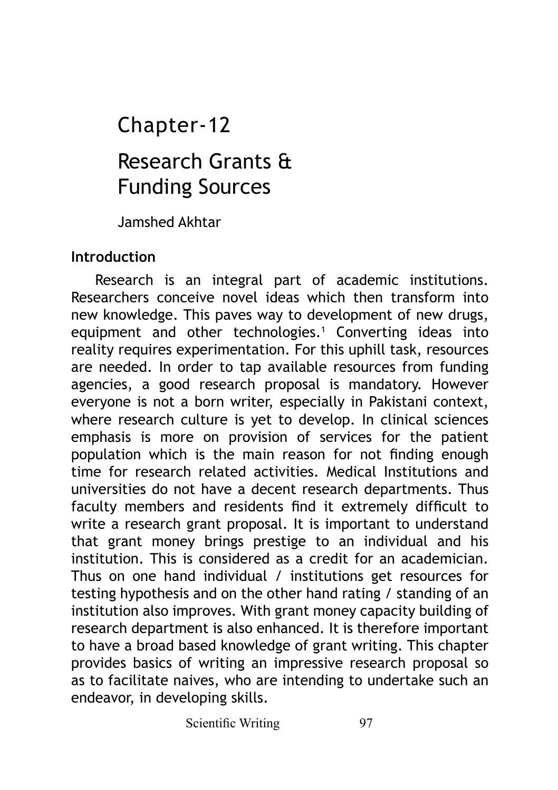# Research Grants & Funding Sources Chapter-12

Jamshed Akhtar

#### **Introduction**

Research is an integral part of academic institutions. Researchers conceive novel ideas which then transform into new knowledge. This paves way to development of new drugs, equipment and other technologies.<sup>1</sup> Converting ideas into reality requires experimentation. For this uphill task, resources are needed. In order to tap available resources from funding agencies, a good research proposal is mandatory. However everyone is not a born writer, especially in Pakistani context, where research culture is yet to develop. In clinical sciences emphasis is more on provision of services for the patient population which is the main reason for not finding enough time for research related activities. Medical Institutions and universities do not have a decent research departments. Thus faculty members and residents find it extremely difficult to write a research grant proposal. It is important to understand that grant money brings prestige to an individual and his institution. This is considered as a credit for an academician. Thus on one hand individual / institutions get resources for testing hypothesis and on the other hand rating / standing of an institution also improves. With grant money capacity building of research department is also enhanced. It is therefore important to have a broad based knowledge of grant writing. This chapter provides basics of writing an impressive research proposal so as to facilitate naives, who are intending to undertake such an endeavor, in developing skills.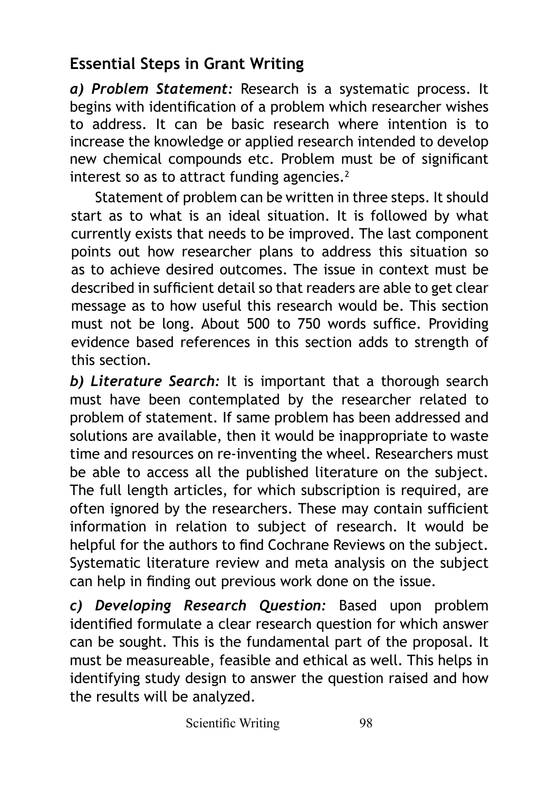# **Essential Steps in Grant Writing**

*a) Problem Statement:* Research is a systematic process. It begins with identification of a problem which researcher wishes to address. It can be basic research where intention is to increase the knowledge or applied research intended to develop new chemical compounds etc. Problem must be of significant interest so as to attract funding agencies.<sup>2</sup>

Statement of problem can be written in three steps. It should start as to what is an ideal situation. It is followed by what currently exists that needs to be improved. The last component points out how researcher plans to address this situation so as to achieve desired outcomes. The issue in context must be described in sufficient detail so that readers are able to get clear message as to how useful this research would be. This section must not be long. About 500 to 750 words suffice. Providing evidence based references in this section adds to strength of this section.

*b) Literature Search:* It is important that a thorough search must have been contemplated by the researcher related to problem of statement. If same problem has been addressed and solutions are available, then it would be inappropriate to waste time and resources on re-inventing the wheel. Researchers must be able to access all the published literature on the subject. The full length articles, for which subscription is required, are often ignored by the researchers. These may contain sufficient information in relation to subject of research. It would be helpful for the authors to find Cochrane Reviews on the subject. Systematic literature review and meta analysis on the subject can help in finding out previous work done on the issue.

*c) Developing Research Question:* Based upon problem identified formulate a clear research question for which answer can be sought. This is the fundamental part of the proposal. It must be measureable, feasible and ethical as well. This helps in identifying study design to answer the question raised and how the results will be analyzed.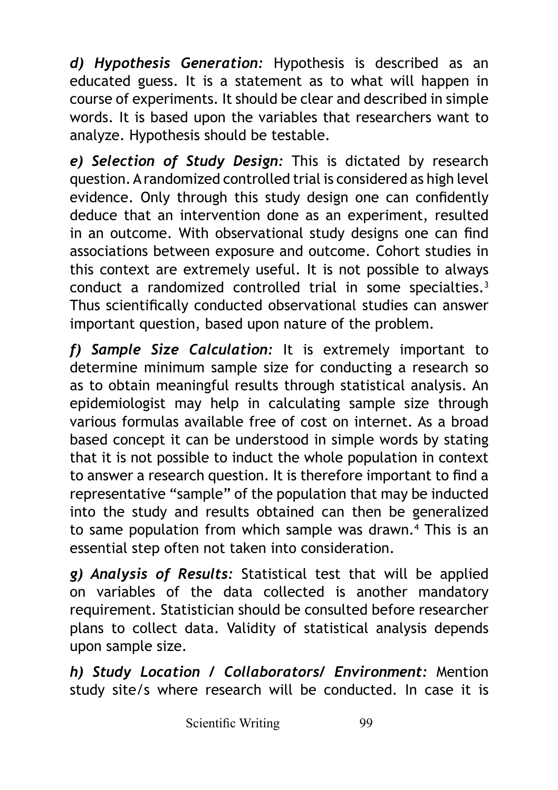*d) Hypothesis Generation:* Hypothesis is described as an educated guess. It is a statement as to what will happen in course of experiments. It should be clear and described in simple words. It is based upon the variables that researchers want to analyze. Hypothesis should be testable.

*e) Selection of Study Design:* This is dictated by research question. A randomized controlled trial is considered as high level evidence. Only through this study design one can confidently deduce that an intervention done as an experiment, resulted in an outcome. With observational study designs one can find associations between exposure and outcome. Cohort studies in this context are extremely useful. It is not possible to always conduct a randomized controlled trial in some specialties.<sup>3</sup> Thus scientifically conducted observational studies can answer important question, based upon nature of the problem.

*f) Sample Size Calculation:* It is extremely important to determine minimum sample size for conducting a research so as to obtain meaningful results through statistical analysis. An epidemiologist may help in calculating sample size through various formulas available free of cost on internet. As a broad based concept it can be understood in simple words by stating that it is not possible to induct the whole population in context to answer a research question. It is therefore important to find a representative "sample" of the population that may be inducted into the study and results obtained can then be generalized to same population from which sample was drawn.4 This is an essential step often not taken into consideration.

*g) Analysis of Results:* Statistical test that will be applied on variables of the data collected is another mandatory requirement. Statistician should be consulted before researcher plans to collect data. Validity of statistical analysis depends upon sample size.

*h) Study Location / Collaborators/ Environment:* Mention study site/s where research will be conducted. In case it is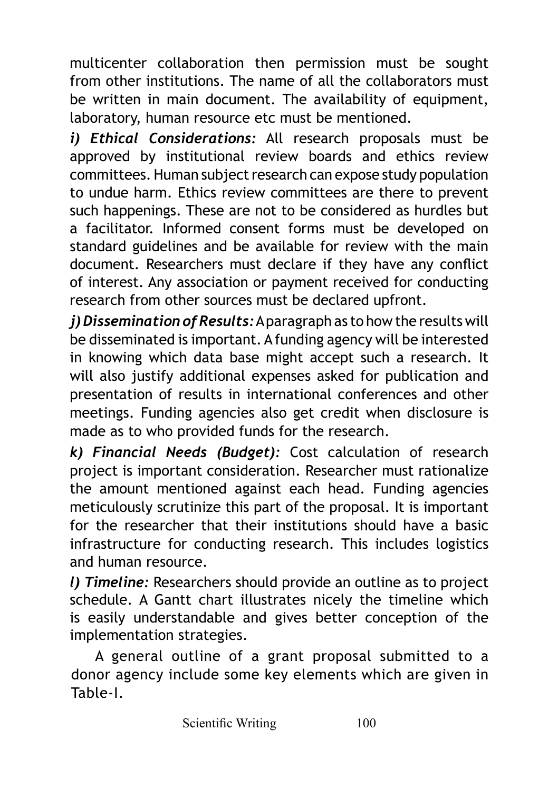multicenter collaboration then permission must be sought from other institutions. The name of all the collaborators must be written in main document. The availability of equipment, laboratory, human resource etc must be mentioned.

*i) Ethical Considerations:* All research proposals must be approved by institutional review boards and ethics review committees. Human subject research can expose study population to undue harm. Ethics review committees are there to prevent such happenings. These are not to be considered as hurdles but a facilitator. Informed consent forms must be developed on standard guidelines and be available for review with the main document. Researchers must declare if they have any conflict of interest. Any association or payment received for conducting research from other sources must be declared upfront.

*j) Dissemination of Results:* A paragraph as to how the results will be disseminated is important. A funding agency will be interested in knowing which data base might accept such a research. It will also justify additional expenses asked for publication and presentation of results in international conferences and other meetings. Funding agencies also get credit when disclosure is made as to who provided funds for the research.

*k) Financial Needs (Budget):* Cost calculation of research project is important consideration. Researcher must rationalize the amount mentioned against each head. Funding agencies meticulously scrutinize this part of the proposal. It is important for the researcher that their institutions should have a basic infrastructure for conducting research. This includes logistics and human resource.

*l) Timeline:* Researchers should provide an outline as to project schedule. A Gantt chart illustrates nicely the timeline which is easily understandable and gives better conception of the implementation strategies.

A general outline of a grant proposal submitted to a donor agency include some key elements which are given in Table-I.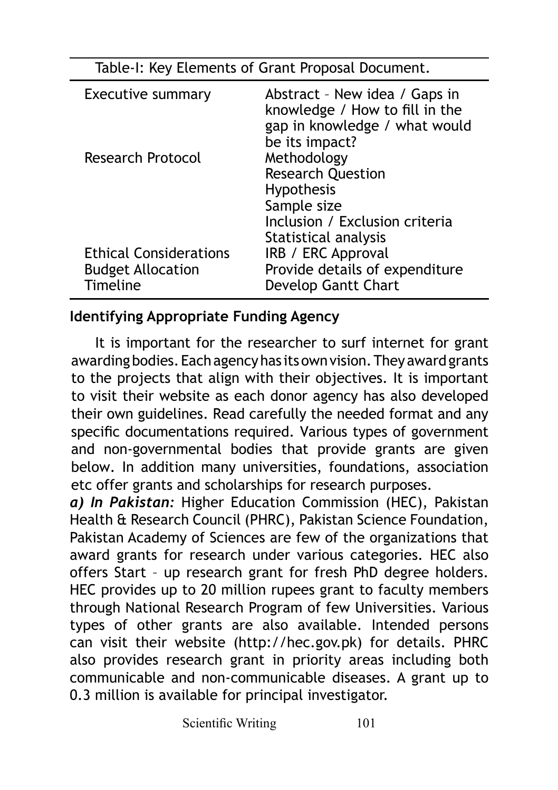| Table-I: Key Elements of Grant Proposal Document.                            |                                                                                                                    |
|------------------------------------------------------------------------------|--------------------------------------------------------------------------------------------------------------------|
| <b>Executive summary</b>                                                     | Abstract - New idea / Gaps in<br>knowledge / How to fill in the<br>gap in knowledge / what would<br>be its impact? |
| Research Protocol                                                            | Methodology<br><b>Research Question</b><br>Hypothesis<br>Sample size<br>Inclusion / Exclusion criteria             |
| <b>Ethical Considerations</b><br><b>Budget Allocation</b><br><b>Timeline</b> | Statistical analysis<br>IRB / ERC Approval<br>Provide details of expenditure<br>Develop Gantt Chart                |

#### **Identifying Appropriate Funding Agency**

It is important for the researcher to surf internet for grant awarding bodies. Each agency has its own vision. They award grants to the projects that align with their objectives. It is important to visit their website as each donor agency has also developed their own guidelines. Read carefully the needed format and any specific documentations required. Various types of government and non-governmental bodies that provide grants are given below. In addition many universities, foundations, association etc offer grants and scholarships for research purposes.

*a) In Pakistan:* Higher Education Commission (HEC), Pakistan Health & Research Council (PHRC), Pakistan Science Foundation, Pakistan Academy of Sciences are few of the organizations that award grants for research under various categories. HEC also offers Start – up research grant for fresh PhD degree holders. HEC provides up to 20 million rupees grant to faculty members through National Research Program of few Universities. Various types of other grants are also available. Intended persons can visit their website (http://hec.gov.pk) for details. PHRC also provides research grant in priority areas including both communicable and non-communicable diseases. A grant up to 0.3 million is available for principal investigator.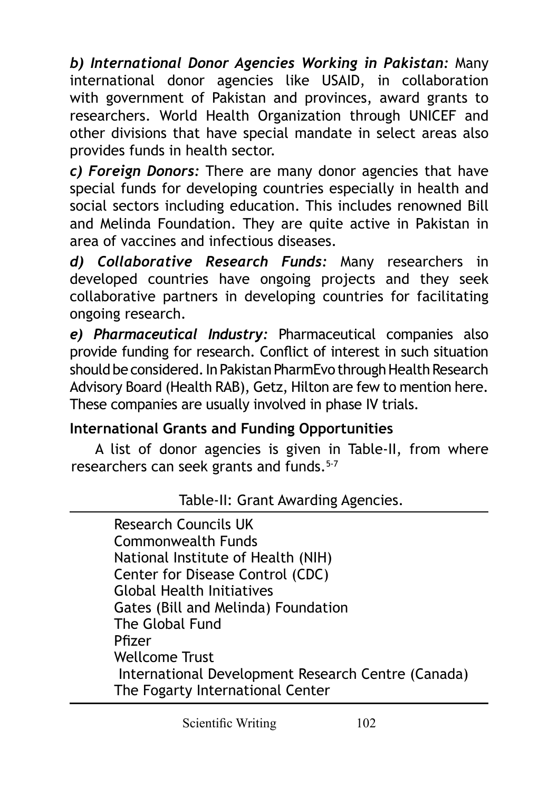*b) International Donor Agencies Working in Pakistan:* Many international donor agencies like USAID, in collaboration with government of Pakistan and provinces, award grants to researchers. World Health Organization through UNICEF and other divisions that have special mandate in select areas also provides funds in health sector.

*c) Foreign Donors:* There are many donor agencies that have special funds for developing countries especially in health and social sectors including education. This includes renowned Bill and Melinda Foundation. They are quite active in Pakistan in area of vaccines and infectious diseases.

*d) Collaborative Research Funds:* Many researchers in developed countries have ongoing projects and they seek collaborative partners in developing countries for facilitating ongoing research.

*e) Pharmaceutical Industry:* Pharmaceutical companies also provide funding for research. Conflict of interest in such situation should be considered. In Pakistan PharmEvo through Health Research Advisory Board (Health RAB), Getz, Hilton are few to mention here. These companies are usually involved in phase IV trials.

# **International Grants and Funding Opportunities**

A list of donor agencies is given in Table-II, from where researchers can seek grants and funds.<sup>5-7</sup>

Table-II: Grant Awarding Agencies.

Research Councils UK Commonwealth Funds National Institute of Health (NIH) Center for Disease Control (CDC) Global Health Initiatives Gates (Bill and Melinda) Foundation The Global Fund Pfizer Wellcome Trust International Development Research Centre (Canada) The Fogarty International Center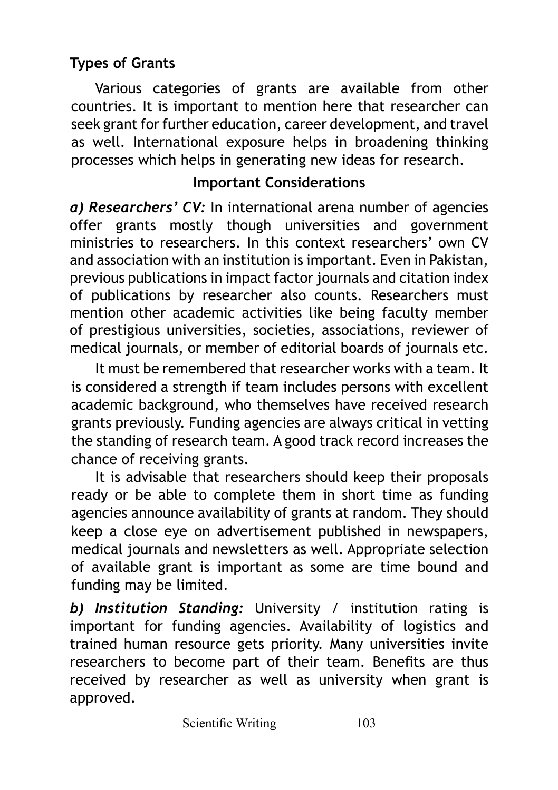# **Types of Grants**

Various categories of grants are available from other countries. It is important to mention here that researcher can seek grant for further education, career development, and travel as well. International exposure helps in broadening thinking processes which helps in generating new ideas for research.

#### **Important Considerations**

*a) Researchers' CV:* In international arena number of agencies offer grants mostly though universities and government ministries to researchers. In this context researchers' own CV and association with an institution is important. Even in Pakistan, previous publications in impact factor journals and citation index of publications by researcher also counts. Researchers must mention other academic activities like being faculty member of prestigious universities, societies, associations, reviewer of medical journals, or member of editorial boards of journals etc.

It must be remembered that researcher works with a team. It is considered a strength if team includes persons with excellent academic background, who themselves have received research grants previously. Funding agencies are always critical in vetting the standing of research team. A good track record increases the chance of receiving grants.

It is advisable that researchers should keep their proposals ready or be able to complete them in short time as funding agencies announce availability of grants at random. They should keep a close eye on advertisement published in newspapers, medical journals and newsletters as well. Appropriate selection of available grant is important as some are time bound and funding may be limited.

*b) Institution Standing:* University / institution rating is important for funding agencies. Availability of logistics and trained human resource gets priority. Many universities invite researchers to become part of their team. Benefits are thus received by researcher as well as university when grant is approved.